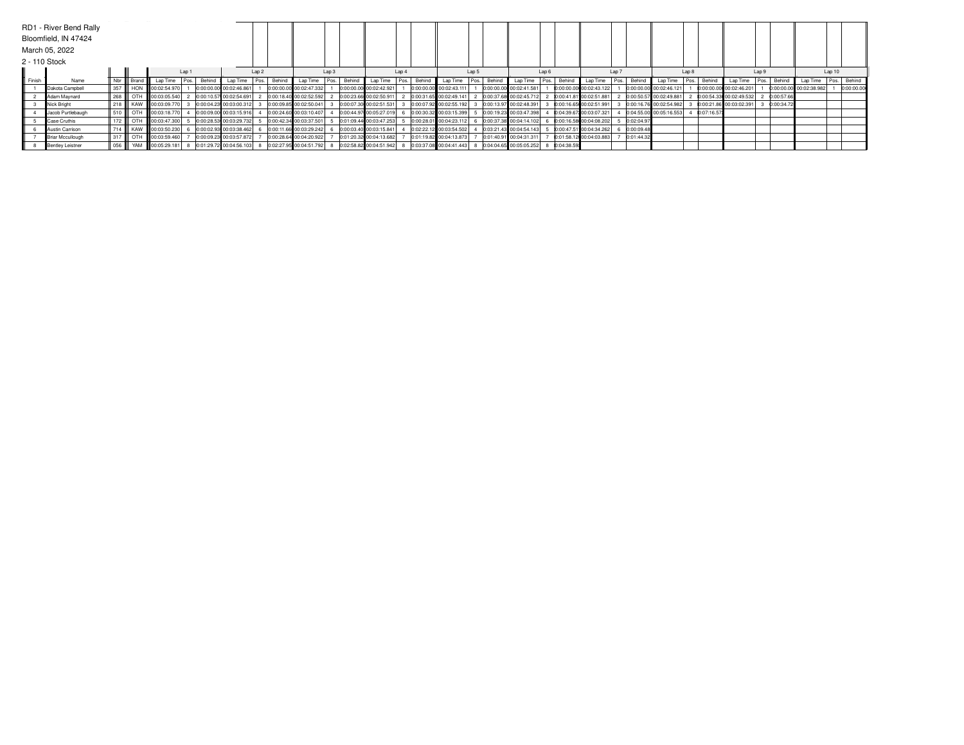|               | RD1 - River Bend Rally<br>Bloomfield, IN 47424 |     |              |                        |                  |                         |                  |                                                     |       |                           |       |        |                           |       |        |                          |                  |            |                         |                  |            |                         |            |                         |       |            |                         |             |            |
|---------------|------------------------------------------------|-----|--------------|------------------------|------------------|-------------------------|------------------|-----------------------------------------------------|-------|---------------------------|-------|--------|---------------------------|-------|--------|--------------------------|------------------|------------|-------------------------|------------------|------------|-------------------------|------------|-------------------------|-------|------------|-------------------------|-------------|------------|
|               | March 05, 2022                                 |     |              |                        |                  |                         |                  |                                                     |       |                           |       |        |                           |       |        |                          |                  |            |                         |                  |            |                         |            |                         |       |            |                         |             |            |
| 2 - 110 Stock |                                                |     |              |                        |                  |                         |                  |                                                     |       |                           |       |        |                           |       |        |                          |                  |            |                         |                  |            |                         |            |                         |       |            |                         |             |            |
|               |                                                |     |              |                        | Lap <sub>1</sub> |                         | Lap <sub>2</sub> |                                                     | Lap 3 |                           | Lap 4 |        |                           | Lap 5 |        |                          | Lap <sub>6</sub> |            |                         | Lap <sub>7</sub> |            |                         | Lap 8      |                         | Lap 9 |            | Lap 10                  |             |            |
| Finish        | Name                                           |     | Nbr    Brand | Lap Time               | Pos.             | Behind Lap Time         |                  | Pos. Behind Lap Time                                | Pos.  | Behind Lap Time Pos.      |       | Behind | LapTime Pos.              |       | Behind | Lap Time   Pos.   Behind |                  |            | Lap Time                | Pos.             |            | Behind Lap Time Pos.    | Behind     | Lap Time                | Pos.  | Behind     | Lap Time                | Pos. Behind |            |
|               | Dakota Campbell                                |     | 357 HON      | 00:02:54.970           |                  | 0:00:00.00 00:02:46.861 |                  | 0:00:00.00 00:02:47.332                             |       | 0:00:00.00 00:02:42.921   |       |        | 0:00:00.00 00:02:43.111   |       |        | 0:00:00.00 00:02:41.581  |                  |            | 0:00:00.00 00:02:43.122 |                  |            | 0:00:00.00 00:02:46.121 |            | 0:00:00.00 00:02:46.201 |       |            | 0:00:00.00 00:02:38.982 |             | 0:00:00.00 |
|               | Adam Maynard                                   | 268 |              | OTH 00:03:05.540       |                  | 0:00:10.57 00:02:54.691 |                  | 0:00:18.40 00:02:52.592                             |       | 0:00:23.66 00:02:50.911 2 |       |        | 0:00:31.65 00:02:49.141   |       |        | 0:00:37.68 00:02:45.712  |                  |            | 0:00:41.81 00:02:51.881 |                  |            | 0:00:50.57 00:02:49.881 |            | 0:00:54.33 00:02:49.532 |       | 0:00:57.66 |                         |             |            |
|               | Nick Bright                                    |     |              | 218   KAW 00:03:09.770 |                  | 0:00:04.23 00:03:00.312 |                  | 0:00:09.85 00:02:50.041                             |       | 0:00:07.30 00:02:51.531   |       |        | 0:00:07.92 00:02:55.192   |       |        | 0:00:13.97 00:02:48.391  |                  |            | 0:00:16.65 00:02:51.991 |                  |            | 0:00:16.76 00:02:54.982 |            | 0:00:21.86 00:03:02.391 |       | 0:00:34.72 |                         |             |            |
|               | Jacob Purtlebaugh                              |     |              | 510 CTH 00:03:18.770   |                  | 0:00:09.00 00:03:15.916 |                  | 0:00:24.60 00:03:10.407                             |       | 0:00:44.97 00:05:27.019   |       |        | 0:00:30.32 00:03:15.399   |       |        | 0:00:19.23 00:03:47.398  |                  |            | 0:04:39.67 00:03:07.321 |                  |            | 0:04:55.00 00:05:16.553 | 0:07:16.57 |                         |       |            |                         |             |            |
|               | Case Cruthis                                   |     |              | 172   OTH 00:03:47.300 |                  | 0:00:28.53 00:03:29.732 |                  | 0:00:42.34 00:03:37.501                             |       | 0:01:09.44 00:03:47.253   |       |        | 0:00:28.01 00:04:23.112   |       |        | 0:00:37.38 00:04:14.102  |                  |            | 0:00:16.58 00:04:08.202 |                  | 0:02:04.97 |                         |            |                         |       |            |                         |             |            |
|               | Austin Carrison                                |     |              | 714 KAW 00:03:50.230   |                  | 0:00:02.93 00:03:38.462 |                  | 0:00:11.66 00:03:29.242                             |       | 0:00:03.40 00:03:15.841   |       |        | 0:02:22.12 00:03:54.502   |       |        | 0:03:21.43 00:04:54.143  |                  |            | 0:00:47.51 00:04:34.262 |                  | 0:00:09.48 |                         |            |                         |       |            |                         |             |            |
|               | <b>Briar Mccullough</b>                        |     |              | 317 CTH 00:03:59.460   |                  | 0:00:09.23 00:03:57.872 |                  | 0:00:28.64 00:04:20.922                             |       | 0:01:20.32 00:04:13.682   |       |        | 0:01:19.82 00:04:13.873   |       |        | 0:01:40.91 00:04:31.311  |                  |            | 0:01:58.12 00:04:03.883 |                  | 0:01:44.32 |                         |            |                         |       |            |                         |             |            |
|               | Bentley Leistner                               | 056 |              | W YAM 100:05:29.181    |                  | 0:01:29.72 00:04:56.103 |                  | 0:02:27.95 00:04:51.792 8 0:02:58.82 00:04:51.942 8 |       |                           |       |        | 0:03:37.08 00:04:41.443 8 |       |        | 0:04:04.65 00:05:05.252  |                  | 0:04:38.59 |                         |                  |            |                         |            |                         |       |            |                         |             |            |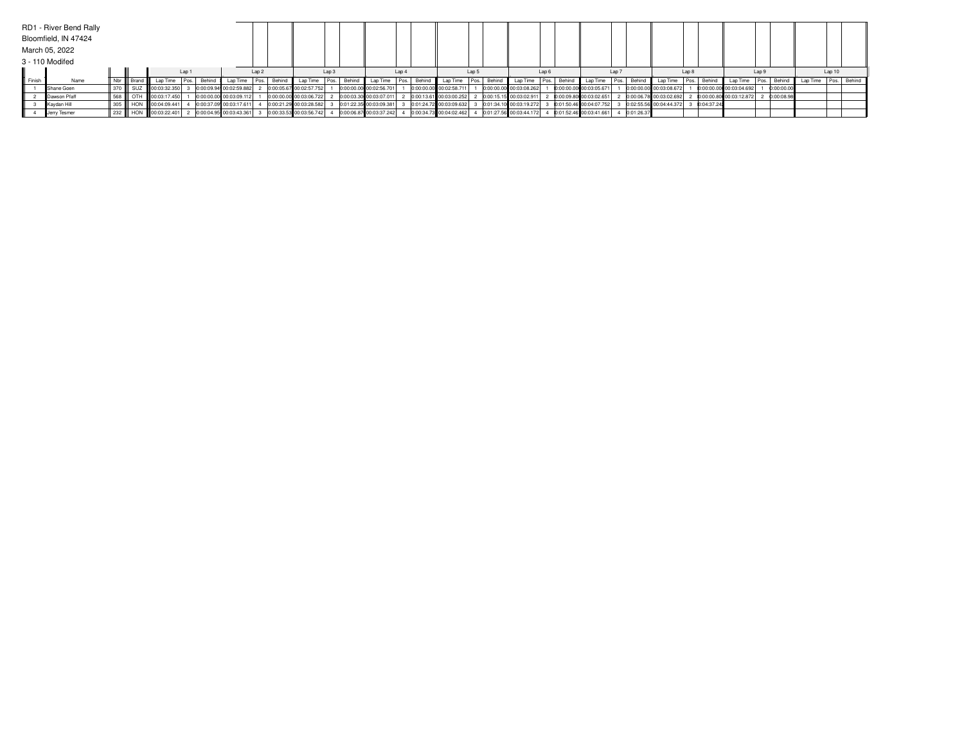|        | RD1 - River Bend Rally |     |           |                         |       |             |                         |                  |                                                                                                               |       |                          |                  |                                                       |                  |                           |       |             |                           |       |            |                                          |       |              |                         |       |              |                                  |        |  |
|--------|------------------------|-----|-----------|-------------------------|-------|-------------|-------------------------|------------------|---------------------------------------------------------------------------------------------------------------|-------|--------------------------|------------------|-------------------------------------------------------|------------------|---------------------------|-------|-------------|---------------------------|-------|------------|------------------------------------------|-------|--------------|-------------------------|-------|--------------|----------------------------------|--------|--|
|        | Bloomfield, IN 47424   |     |           |                         |       |             |                         |                  |                                                                                                               |       |                          |                  |                                                       |                  |                           |       |             |                           |       |            |                                          |       |              |                         |       |              |                                  |        |  |
|        | March 05, 2022         |     |           |                         |       |             |                         |                  |                                                                                                               |       |                          |                  |                                                       |                  |                           |       |             |                           |       |            |                                          |       |              |                         |       |              |                                  |        |  |
|        | 3 - 110 Modifed        |     |           |                         |       |             |                         |                  |                                                                                                               |       |                          |                  |                                                       |                  |                           |       |             |                           |       |            |                                          |       |              |                         |       |              |                                  |        |  |
|        |                        |     |           |                         | Lap 1 |             |                         | Lap <sub>2</sub> |                                                                                                               | Lap 3 |                          | Lap <sub>4</sub> |                                                       | Lap <sub>5</sub> |                           | Lap 6 |             |                           | Lap 7 |            |                                          | Lap 8 |              |                         | Lap 9 |              |                                  | Lap 10 |  |
| Finish | Name                   |     | Nbr Brand | Lap Time                |       | Pos. Behind | Lap Time                |                  | Pos. Behind Lap Time Pos. Behind                                                                              |       | Lap Time   Pos.   Behind |                  | Lap Time                                              |                  | Pos. Behind Lap Time      |       | Pos. Behind | Lap Time                  |       |            | Pos.   Behind   Lap Time   Pos.   Behind |       |              | Lap Time                |       |              | Pos. Behind Lap Time Pos. Behind |        |  |
|        | Shane Goen             | 370 |           | SUZ 100:03:32.350       |       |             | 0:00:09.94 00:02:59.882 |                  | 0:00:05.67 00:02:57.752                                                                                       |       | 0:00:00.00 00:02:56.701  |                  | 0:00:00.00 00:02:58.711                               |                  | 0:00:00.00 00:03:08.262   |       |             | 0:00:00.00 00:03:05.671   |       |            | 0:00:00.00 00:03:08.672                  |       |              | 0:00:00.00 00:03:04.692 |       | 0:00:00.00   |                                  |        |  |
|        | Dawson Pfaff           | 568 |           | OTH   00:03:17.450      |       |             | 0:00:00.00 00:03:09.112 |                  | 0:00:00.00 00:03:06.722                                                                                       |       | 0:00:03.30 00:03:07.011  |                  | 0:00:13.61 00:03:00.252                               |                  | $0:00:15.15$ 00:03:02.911 |       |             | 0:00:09.80 00:03:02.651   |       |            | 0:00:06.78 00:03:02.692                  |       |              | 0:00:00.80 00:03:12.872 |       | 2 0:00:08.98 |                                  |        |  |
|        | Kaydan Hill            |     |           | 305    HON 00:04:09.441 |       |             | 0:00:37.09 00:03:17.611 |                  | 0:00:21.29 00:03:28.582                                                                                       |       | 0:01:22.35 00:03:09.381  |                  | 0:01:24.72 00:03:09.632                               |                  | 0:01:34.10 00:03:19.272   |       |             | 0:01:50.46 00:04:07.752   |       |            | 0:02:55.56 00:04:44.372                  |       | 3 0:04:37.24 |                         |       |              |                                  |        |  |
|        | Jerry Tesmer           |     |           |                         |       |             |                         |                  | 232    HON   00:03:22.401   2 0:00:04.95 00:03:43.361   3 0:00:33.53 00:03:56.742   4 0:00:06.87 00:03:37.242 |       |                          |                  | 4 0:00:34.73 00:04:02.462 4 0:01:27.56 00:03:44.172 4 |                  |                           |       |             | $0:01:52.46$ 00:03:41.661 |       | 0:01:26.37 |                                          |       |              |                         |       |              |                                  |        |  |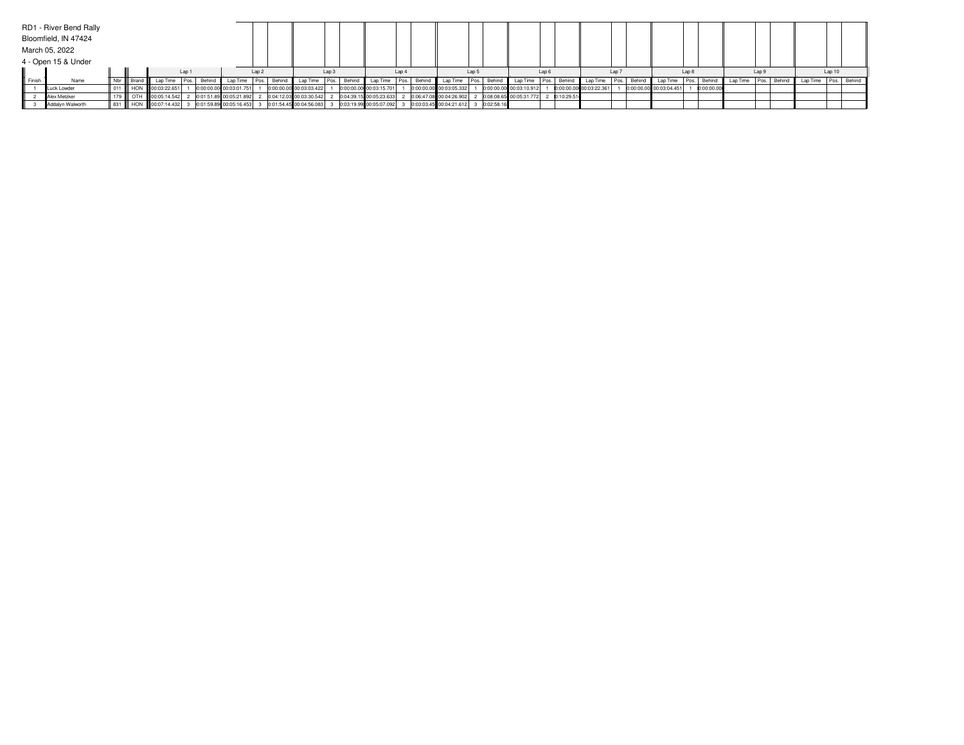|        | RD1 - River Bend Rally |  |                                                                                                                                                                                       |       |                           |       |                           |       |                           |                  |                         |       |                         |       |             |                         |                  |                                                     |       |            |                                           |       |  |        |  |
|--------|------------------------|--|---------------------------------------------------------------------------------------------------------------------------------------------------------------------------------------|-------|---------------------------|-------|---------------------------|-------|---------------------------|------------------|-------------------------|-------|-------------------------|-------|-------------|-------------------------|------------------|-----------------------------------------------------|-------|------------|-------------------------------------------|-------|--|--------|--|
|        | Bloomfield, IN 47424   |  |                                                                                                                                                                                       |       |                           |       |                           |       |                           |                  |                         |       |                         |       |             |                         |                  |                                                     |       |            |                                           |       |  |        |  |
|        | March 05, 2022         |  |                                                                                                                                                                                       |       |                           |       |                           |       |                           |                  |                         |       |                         |       |             |                         |                  |                                                     |       |            |                                           |       |  |        |  |
|        | 4 - Open 15 & Under    |  |                                                                                                                                                                                       |       |                           |       |                           |       |                           |                  |                         |       |                         |       |             |                         |                  |                                                     |       |            |                                           |       |  |        |  |
|        |                        |  |                                                                                                                                                                                       | Lap 1 |                           | Lap 2 |                           | Lap 3 |                           | Lap <sub>4</sub> |                         | Lap 5 |                         | Lap 6 |             |                         | Lap <sub>7</sub> |                                                     | Lap 8 |            |                                           | Lap 9 |  | Lap 10 |  |
| Finish | Name                   |  | Nbr     Brand     LapTime   Pos.   Behind   LapTime   Pos.   Behind   LapTime   Pos.   Behind   LapTime   Pos.   Behind   LapTime   Pos.   Behind   LapTime   Pos.   Behind   LapTime |       |                           |       |                           |       |                           |                  |                         |       |                         |       | Pos. Behind |                         |                  | Lap Time   Pos.   Behind   Lap Time   Pos.   Behind |       |            | Lap Time Pos. Behind Lap Time Pos. Behind |       |  |        |  |
|        | Luck Lowder            |  | 011 HON 100:03:22.651                                                                                                                                                                 |       | 0:00:00.00 00:03:01.751   |       | 0:00:00.00 00:03:03.422   |       | 0:00:00.00 00:03:15.701   |                  | 0:00:00.00 00:03:05.332 |       | 0:00:00.00 00:03:10.912 |       |             | 0:00:00.00 00:03:22.361 |                  | 0:00:00.00 00:03:04.451                             |       | 0:00:00.00 |                                           |       |  |        |  |
|        | Alex Metzker           |  | OTH   00:05:14.542                                                                                                                                                                    |       | 2 0:01:51.89 00:05:21.892 |       | 2 0:04:12.03 00:03:30.542 |       | 2 0:04:39.15 00:05:23.633 |                  | 0:06:47.08 00:04:26.902 |       | 0:08:08.65 00:05:31.772 |       | 0:10:29.51  |                         |                  |                                                     |       |            |                                           |       |  |        |  |
|        | Addalyn Walworth       |  | 831 HON   00:07:14.432 3 0:02:58.16 00:05:16.453 3 0:01:54.45 00:04:56.083 3 0:03:19.99 00:05:07.092 3 0:03:03.45 00:04:21.612 3 0:02:58.16                                           |       |                           |       |                           |       |                           |                  |                         |       |                         |       |             |                         |                  |                                                     |       |            |                                           |       |  |        |  |